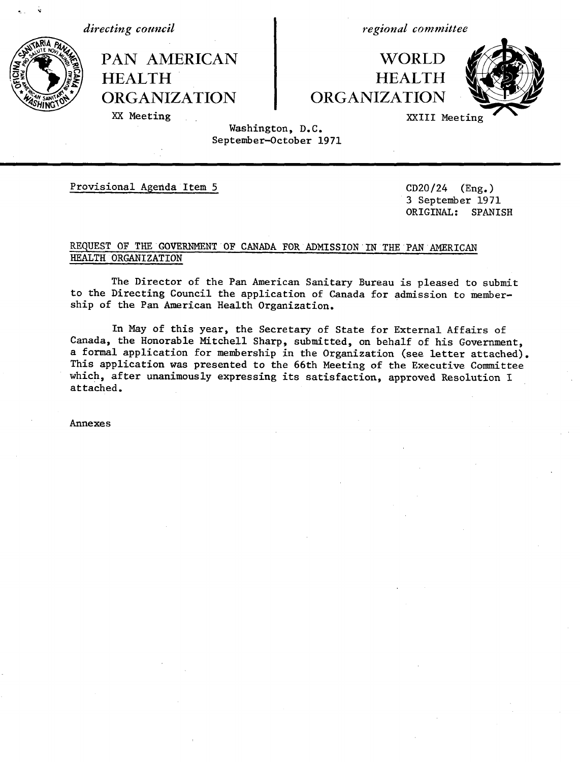*directing council*

N

*regional committee*

WORLD **HEALTH** ORGANIZATION



XX Meeting

HEALTH

PAN AMERICAN

ORGANIZATION

XXIII Meeting

## Washington, D.C. September-October 1971

Provisional Agenda Item 5 CD20/24 (Eng.)

3 September 1971 ORIGINAL: SPANISH

# REQUEST OF THE GOVERNMENT OF CANADA FOR ADMISSION IN THE PAN AMERICAN HEALTH ORGANIZATION

The Director of the Pan American Sanitary Bureau is pleased to submit to the Directing Council the application of Canada for admission to membership of the Pan American Health Organization.

In May of this year, the Secretary of State for External Affairs of Canada, the Honorable Mitchell Sharp, submitted, on behalf of his Government, a formal application for membership in the Organization (see letter attached). This application was presented to the 66th Meeting of the Executive Committee which, after unanimously expressing its satisfaction, approved Resolution I attached.

Annexes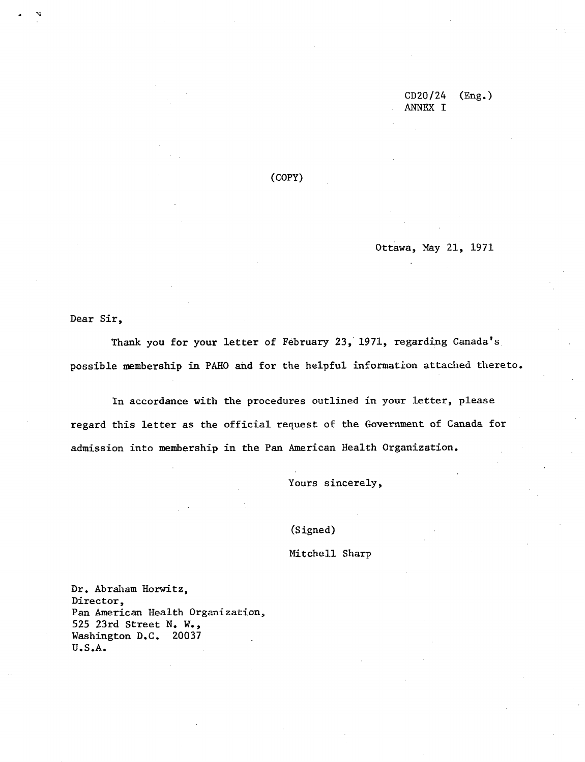CD20/24 (Eng.) ANNEX I

(COPY)

Ottawa, May 21, 1971

Dear Sir,

Thank you for your letter of February 23, 1971, regarding Canada's possible membership in PAHO and for the helpful information attached thereto.

In accordance with the procedures outlined in your letter, please regard this letter as the official request of the Government of Canada for admission into membership in the Pan American Health Organization.

Yours sincerely,

(Signed)

Mitchell Sharp

Dr. Abraham Horwitz, Director, Pan American Health Organization, 525 23rd Street N. W., Washington D.C. 20037 U.S.A.